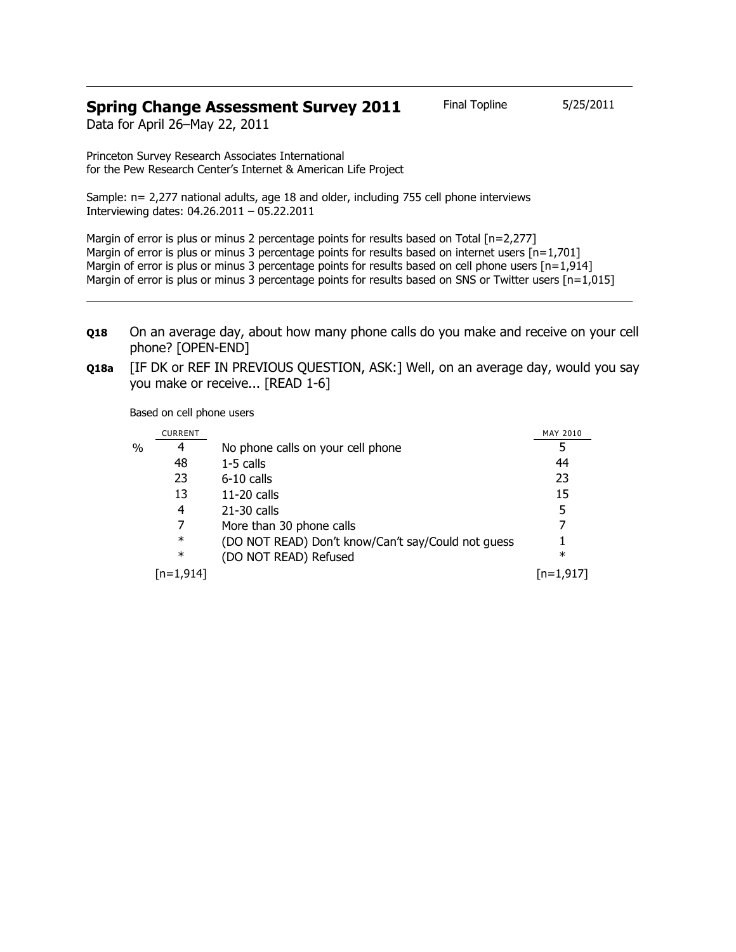## **Spring Change Assessment Survey 2011** Final Topline 5/25/2011

Data for April 26–May 22, 2011

Princeton Survey Research Associates International for the Pew Research Center's Internet & American Life Project

Sample: n= 2,277 national adults, age 18 and older, including 755 cell phone interviews Interviewing dates: 04.26.2011 – 05.22.2011

Margin of error is plus or minus 2 percentage points for results based on Total [n=2,277] Margin of error is plus or minus 3 percentage points for results based on internet users  $[n=1,701]$ Margin of error is plus or minus 3 percentage points for results based on cell phone users  $[n=1,914]$ Margin of error is plus or minus 3 percentage points for results based on SNS or Twitter users [n=1,015]

- **Q18** On an average day, about how many phone calls do you make and receive on your cell phone? [OPEN-END]
- **Q18a** [IF DK or REF IN PREVIOUS QUESTION, ASK:] Well, on an average day, would you say you make or receive... [READ 1-6]

Based on cell phone users

|   | <b>CURRENT</b> |                                                    | MAY 2010  |
|---|----------------|----------------------------------------------------|-----------|
| % | 4              | No phone calls on your cell phone                  | 5         |
|   | 48             | $1-5$ calls                                        | 44        |
|   | 23             | $6-10$ calls                                       | 23        |
|   | 13             | $11-20$ calls                                      | 15        |
|   | 4              | $21-30$ calls                                      | 5         |
|   |                | More than 30 phone calls                           | 7         |
|   | $\ast$         | (DO NOT READ) Don't know/Can't say/Could not guess |           |
|   | $\ast$         | (DO NOT READ) Refused                              | $\ast$    |
|   | [n=1,914]      |                                                    | [n=1,917] |